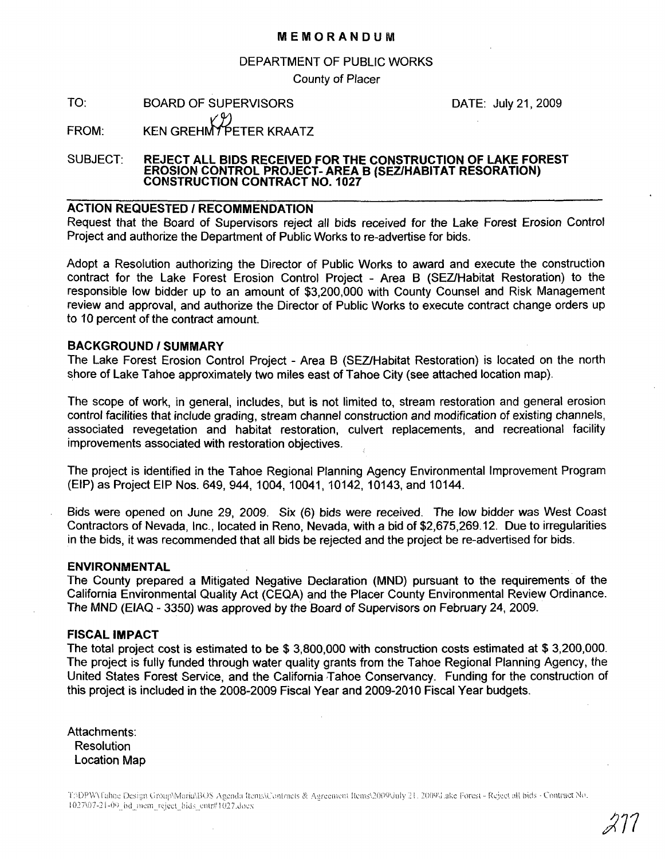#### MEMORANDUM

#### DEPARTMENT OF PUBLIC WORKS

County of Placer

TO: BOARD OF SUPERVISORS KEN GREHMT PETER KRAATZ DATE: July 21, 2009

FROM:

## SUBJECT: REJECT ALL BIDS RECEIVED FOR THE CONSTRUCTION OF LAKE FOREST EROSION CONTROL PROJECT-AREA <sup>B</sup> (SEZlHABITAT RESORATION) CONSTRUCTION CONTRACT NO.1 <sup>027</sup>

### ACTION REQUESTED / RECOMMENDATION

Request that the Board of Supervisors reject all bids received for the Lake Forest Erosion Control Project and authorize the Department of Public Works to re-advertise for bids.

Adopt a Resolution authorizing the Director of Public Works to award and execute the construction contract for the Lake Forest Erosion Control Project - Area B (SEZlHabitat Restoration) to the responsible low bidder up to an amount of \$3,200,000 with County Counsel and Risk Management review and approval, and authorize the Director of Public Works to execute contract change orders up to 10 percent of the contract amount.

#### BACKGROUND / SUMMARY

The Lake Forest Erosion Control Project - Area B (SEZlHabitat Restoration) is located on the north shore of Lake Tahoe approximately two miles east of Tahoe City (see attached location map).

The scope of work, in general, includes, but is not limited to, stream restoration and general erosion control facilities that include grading, stream channel construction and modification of existing channels, associated revegetation and habitat restoration, culvert replacements, and recreational facility improvements associated with restoration objectives.

The project is identified in the Tahoe Regional Planning Agency Environmental Improvement Program (EIP) as Project EIP Nos. 649, 944, 1004, 10041, 10142, 10143, and 10144.

Bids were opened on June 29, 2009. Six (6) bids were received. The low bidder was West Coast Contractors of Nevada, Inc., located in Reno, Nevada, with a bid of \$2,675,269.12. Due to irregularities in the bids, it was recommended that all bids be rejected and the project be re-advertised for bids.

#### ENVIRONMENTAL

The County prepared a Mitigated Negative Declaration (MND) pursuant to the requirements of the California Environmental Quality Act (CEQA) and the Placer County Environmental Review Ordinance. The MND (EIAQ - 3350) was approved by the Board of Supervisors on February 24, 2009.

#### FISCAL IMPACT

The total project cost is estimated to be \$ 3,800,000 with construction costs estimated at \$ 3,200,000. The project is fully funded through water quality grants from the Tahoe Regional Planning Agency, the United States Forest Service, and the California Tahoe Conservancy. Funding for the construction of this project is included in the 2008-2009 Fiscal Year and 2009-2010 Fiscal Year bUdgets.

Attachments: Resolution Location Map

T:\DPW\Tahoe Design Group\Maria\BOS Agenda Items\Contracts & Agreement Items\2009\July 21, 2009\J.ake Forest - Reject all bids - Contract No. 1027\07-21-00 bd\_mem\_reject\_bids\_cntr#1027.doex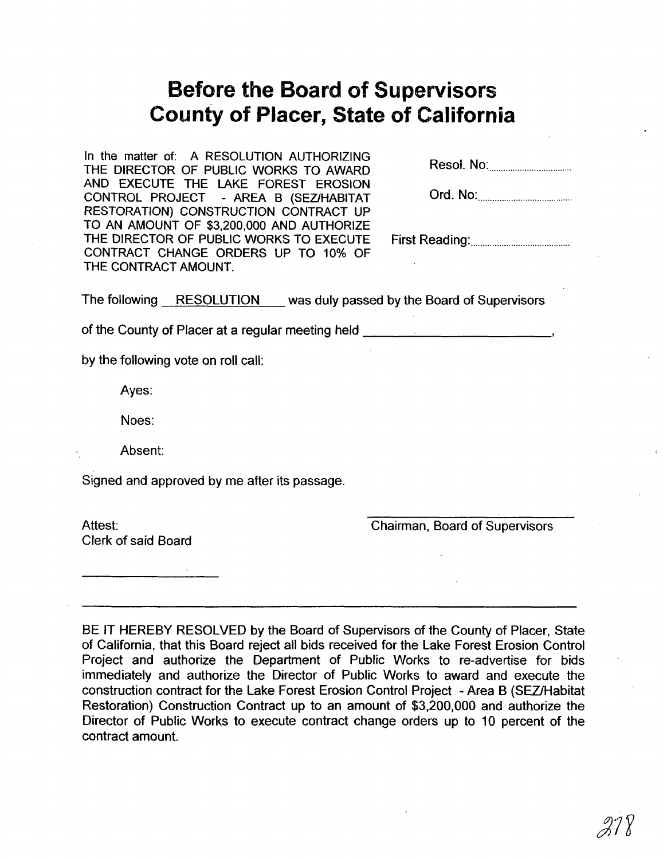# **Before the Board of Supervisors County of Placer, State of California**

In the matter of: A RESOLUTION AUTHORIZING THE DIRECTOR OF PUBLIC WORKS TO AWARD AND EXECUTE THE LAKE FOREST EROSION CONTROL PROJECT - AREA B (SEZlHABITAT RESTORATION) CONSTRUCTION CONTRACT UP TO AN AMOUNT OF \$3,200,000 AND AUTHORIZE THE DIRECTOR OF PUBLIC WORKS TO EXECUTE CONTRACT CHANGE ORDERS UP TO 10% OF THE CONTRACT AMOUNT.

| Resol. No: |  |
|------------|--|
|------------|--|

| Ord. No: |
|----------|
|----------|

First Reading: .

The following RESOLUTION was duly passed by the Board of Supervisors

of the County of Placer at a regular meeting held **with the County of Placer at a regular meeting held** 

by the following vote on roll call:

Ayes:

Noes:

Absent:

Signed and approved by me after its passage.

Attest: Clerk of said Board Chairman, Board of Supervisors

BE IT HEREBY RESOLVED by the Board of Supervisors of the County of Placer, State of California, that this Board reject all bids received for the Lake Forest Erosion Control Project and authorize the Department of Public Works to re-advertise for bids immediately and authorize the Director of Public Works to award and execute the construction contract for the Lake Forest Erosion Control Project - Area B (SEZlHabitat Restoration) Construction Contract up to an amount of \$3,200,000 and authorize the Director of Public Works to execute contract change orders up to 10 percent of the contract amount.